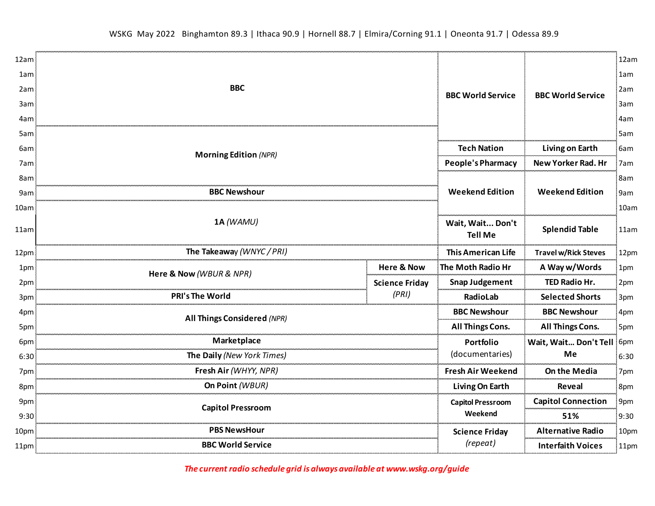| 12am |                                                  |                                    | <b>BBC World Service</b>    | 12am |
|------|--------------------------------------------------|------------------------------------|-----------------------------|------|
| 1am  |                                                  |                                    |                             | 1am  |
| 2am  | <b>BBC</b>                                       | <b>BBC World Service</b>           |                             | 2am  |
| 3am  |                                                  |                                    |                             | 3am  |
| 4am  |                                                  |                                    |                             | 4am  |
| 5am  |                                                  |                                    |                             | 5am  |
| 6am  | <b>Morning Edition (NPR)</b>                     | <b>Tech Nation</b>                 | Living on Earth             | 6am  |
| 7am  |                                                  | People's Pharmacy                  | New Yorker Rad. Hr          | 7am  |
| 8am  |                                                  | <b>Weekend Edition</b>             | <b>Weekend Edition</b>      | 8am  |
| 9am  | <b>BBC Newshour</b>                              |                                    |                             | 9am  |
| 10am |                                                  |                                    |                             | 10am |
| 11am | 1A (WAMU)                                        | Wait, Wait Don't<br><b>Tell Me</b> | <b>Splendid Table</b>       | 11am |
| 12pm | The Takeaway (WNYC / PRI)                        | <b>This American Life</b>          | <b>Travel w/Rick Steves</b> | 12pm |
| 1pm  | <b>Here &amp; Now</b><br>Here & Now (WBUR & NPR) | The Moth Radio Hr                  | A Way w/Words               | 1pm  |
| 2pm  | <b>Science Friday</b>                            | <b>Snap Judgement</b>              | TED Radio Hr.               | 2pm  |
| 3pm  | (PRI)<br><b>PRI's The World</b>                  | RadioLab                           | <b>Selected Shorts</b>      | 3pm  |
| 4pm  | All Things Considered (NPR)                      | <b>BBC Newshour</b>                | <b>BBC Newshour</b>         | 4pm  |
| 5pm  |                                                  | <b>All Things Cons.</b>            | <b>All Things Cons.</b>     | 5pm  |
| 6pm  | Marketplace                                      | Portfolio                          | Wait, Wait Don't Tell       | 6pm  |
| 6:30 | The Daily (New York Times)                       | (documentaries)                    | Me                          | 6:30 |
| 7pm  | Fresh Air (WHYY, NPR)                            | <b>Fresh Air Weekend</b>           | On the Media                | 7pm  |
| 8pm  | On Point (WBUR)                                  | Living On Earth                    | Reveal                      | 8pm  |
| 9pm  | <b>Capitol Pressroom</b>                         | <b>Capitol Pressroom</b>           | <b>Capitol Connection</b>   | 9pm  |
| 9:30 |                                                  | Weekend                            | 51%                         | 9:30 |
| 10pm | PBS NewsHour                                     | <b>Science Friday</b>              | <b>Alternative Radio</b>    | 10pm |
| 11pm | <b>BBC World Service</b>                         | (repeat)                           | <b>Interfaith Voices</b>    | 11pm |